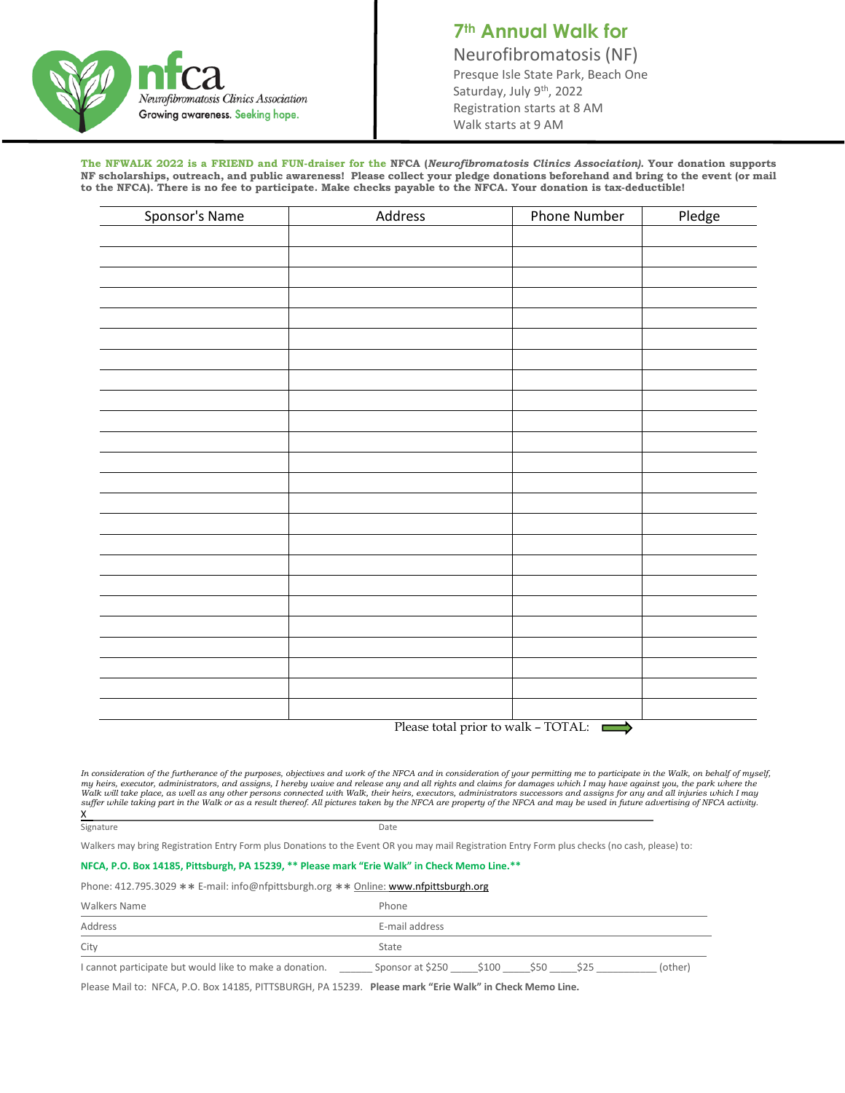

## **7th Annual Walk for** Neurofibromatosis (NF)<br>Presque Isle State Park, Beach One Saturday, July 9<sup>th</sup>, 2022 Registration starts at 8 AM Walk starts at 9 AM

**The NFWALK 2022 is a FRIEND and FUN-draiser for the NFCA (***Neurofibromatosis Clinics Association).* **Your donation supports NF scholarships, outreach, and public awareness! Please collect your pledge donations beforehand and bring to the event (or mail to the NFCA). There is no fee to participate. Make checks payable to the NFCA. Your donation is tax-deductible!**

| Sponsor's Name | Address | Phone Number                        | Pledge |
|----------------|---------|-------------------------------------|--------|
|                |         |                                     |        |
|                |         |                                     |        |
|                |         |                                     |        |
|                |         |                                     |        |
|                |         |                                     |        |
|                |         |                                     |        |
|                |         |                                     |        |
|                |         |                                     |        |
|                |         |                                     |        |
|                |         |                                     |        |
|                |         |                                     |        |
|                |         |                                     |        |
|                |         |                                     |        |
|                |         |                                     |        |
|                |         |                                     |        |
|                |         |                                     |        |
|                |         |                                     |        |
|                |         |                                     |        |
|                |         |                                     |        |
|                |         |                                     |        |
|                |         |                                     |        |
|                |         |                                     |        |
|                |         |                                     |        |
|                |         |                                     |        |
|                |         | Please total prior to walk - TOTAL: |        |

*In consideration of the furtherance of the purposes, objectives and work of the NFCA and in consideration of your permitting me to participate in the Walk, on behalf of myself,*  my heirs, executor, administrators, and assigns, I hereby waive and release any and all rights and claims for damages which I may have against you, the park where the Walk where the Walk where the Walk was differed in the

Signature Date

Walkers may bring Registration Entry Form plus Donations to the Event OR you may mail Registration Entry Form plus checks (no cash, please) to:

## **NFCA, P.O. Box 14185, Pittsburgh, PA 15239, \*\* Please mark "Erie Walk" in Check Memo Line.\*\***

Phone: 412.795.3029 \*\* E-mail: info@nfpittsburgh.org \*\* Online[: www.nfpittsburgh.org](http://www.nfpittsburgh.org/)

| <b>Walkers Name</b>                                     | Phone                                                     |
|---------------------------------------------------------|-----------------------------------------------------------|
| Address                                                 | E-mail address                                            |
| City                                                    | State                                                     |
| I cannot participate but would like to make a donation. | Sponsor at \$250 \$100 \$50<br>(other)<br>S <sub>25</sub> |

Please Mail to: NFCA, P.O. Box 14185, PITTSBURGH, PA 15239. **Please mark "Erie Walk" in Check Memo Line.**